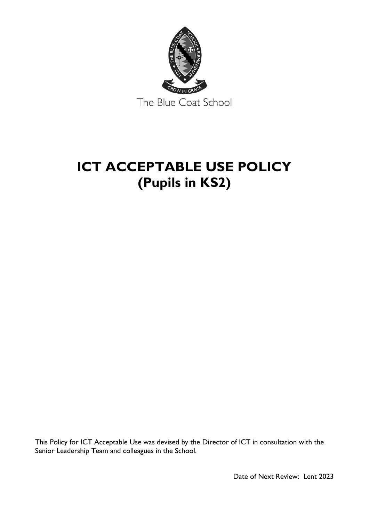

## **ICT ACCEPTABLE USE POLICY (Pupils in KS2)**

This Policy for ICT Acceptable Use was devised by the Director of ICT in consultation with the Senior Leadership Team and colleagues in the School.

Date of Next Review: Lent 2023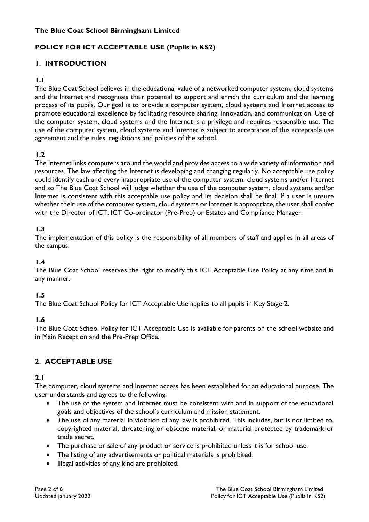#### **The Blue Coat School Birmingham Limited**

#### **POLICY FOR ICT ACCEPTABLE USE (Pupils in KS2)**

#### **1. INTRODUCTION**

#### **1.1**

The Blue Coat School believes in the educational value of a networked computer system, cloud systems and the Internet and recognises their potential to support and enrich the curriculum and the learning process of its pupils. Our goal is to provide a computer system, cloud systems and Internet access to promote educational excellence by facilitating resource sharing, innovation, and communication. Use of the computer system, cloud systems and the Internet is a privilege and requires responsible use. The use of the computer system, cloud systems and Internet is subject to acceptance of this acceptable use agreement and the rules, regulations and policies of the school.

#### **1.2**

The Internet links computers around the world and provides access to a wide variety of information and resources. The law affecting the Internet is developing and changing regularly. No acceptable use policy could identify each and every inappropriate use of the computer system, cloud systems and/or Internet and so The Blue Coat School will judge whether the use of the computer system, cloud systems and/or Internet is consistent with this acceptable use policy and its decision shall be final. If a user is unsure whether their use of the computer system, cloud systems or Internet is appropriate, the user shall confer with the Director of ICT, ICT Co-ordinator (Pre-Prep) or Estates and Compliance Manager.

#### **1.3**

The implementation of this policy is the responsibility of all members of staff and applies in all areas of the campus.

#### **1.4**

The Blue Coat School reserves the right to modify this ICT Acceptable Use Policy at any time and in any manner.

#### **1.5**

The Blue Coat School Policy for ICT Acceptable Use applies to all pupils in Key Stage 2.

#### **1.6**

The Blue Coat School Policy for ICT Acceptable Use is available for parents on the school website and in Main Reception and the Pre-Prep Office.

#### **2. ACCEPTABLE USE**

#### **2.1**

The computer, cloud systems and Internet access has been established for an educational purpose. The user understands and agrees to the following:

- The use of the system and Internet must be consistent with and in support of the educational goals and objectives of the school's curriculum and mission statement.
- The use of any material in violation of any law is prohibited. This includes, but is not limited to, copyrighted material, threatening or obscene material, or material protected by trademark or trade secret.
- The purchase or sale of any product or service is prohibited unless it is for school use.
- The listing of any advertisements or political materials is prohibited.
- Illegal activities of any kind are prohibited.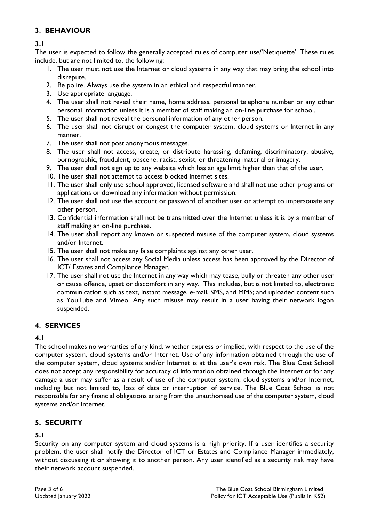#### **3. BEHAVIOUR**

#### **3.1**

The user is expected to follow the generally accepted rules of computer use/'Netiquette'. These rules include, but are not limited to, the following:

- 1. The user must not use the Internet or cloud systems in any way that may bring the school into disrepute.
- 2. Be polite. Always use the system in an ethical and respectful manner.
- 3. Use appropriate language.
- 4. The user shall not reveal their name, home address, personal telephone number or any other personal information unless it is a member of staff making an on-line purchase for school.
- 5. The user shall not reveal the personal information of any other person.
- 6. The user shall not disrupt or congest the computer system, cloud systems or Internet in any manner.
- 7. The user shall not post anonymous messages.
- 8. The user shall not access, create, or distribute harassing, defaming, discriminatory, abusive, pornographic, fraudulent, obscene, racist, sexist, or threatening material or imagery.
- 9. The user shall not sign up to any website which has an age limit higher than that of the user.
- 10. The user shall not attempt to access blocked Internet sites.
- 11. The user shall only use school approved, licensed software and shall not use other programs or applications or download any information without permission.
- 12. The user shall not use the account or password of another user or attempt to impersonate any other person.
- 13. Confidential information shall not be transmitted over the Internet unless it is by a member of staff making an on-line purchase.
- 14. The user shall report any known or suspected misuse of the computer system, cloud systems and/or Internet.
- 15. The user shall not make any false complaints against any other user.
- 16. The user shall not access any Social Media unless access has been approved by the Director of ICT/ Estates and Compliance Manager.
- 17. The user shall not use the Internet in any way which may tease, bully or threaten any other user or cause offence, upset or discomfort in any way. This includes, but is not limited to, electronic communication such as text, instant message, e-mail, SMS, and MMS; and uploaded content such as YouTube and Vimeo. Any such misuse may result in a user having their network logon suspended.

#### **4. SERVICES**

#### **4.1**

The school makes no warranties of any kind, whether express or implied, with respect to the use of the computer system, cloud systems and/or Internet. Use of any information obtained through the use of the computer system, cloud systems and/or Internet is at the user's own risk. The Blue Coat School does not accept any responsibility for accuracy of information obtained through the Internet or for any damage a user may suffer as a result of use of the computer system, cloud systems and/or Internet, including but not limited to, loss of data or interruption of service. The Blue Coat School is not responsible for any financial obligations arising from the unauthorised use of the computer system, cloud systems and/or Internet.

#### **5. SECURITY**

#### **5.1**

Security on any computer system and cloud systems is a high priority. If a user identifies a security problem, the user shall notify the Director of ICT or Estates and Compliance Manager immediately, without discussing it or showing it to another person. Any user identified as a security risk may have their network account suspended.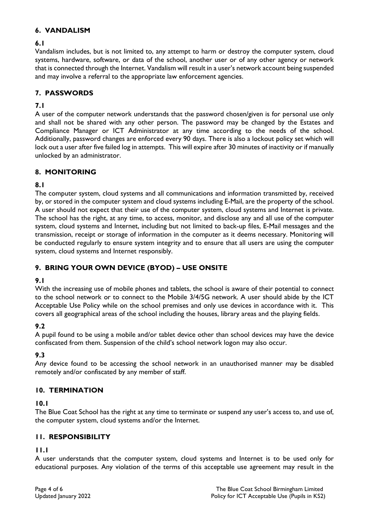#### **6. VANDALISM**

#### **6.1**

Vandalism includes, but is not limited to, any attempt to harm or destroy the computer system, cloud systems, hardware, software, or data of the school, another user or of any other agency or network that is connected through the Internet. Vandalism will result in a user's network account being suspended and may involve a referral to the appropriate law enforcement agencies.

#### **7. PASSWORDS**

#### **7.1**

A user of the computer network understands that the password chosen/given is for personal use only and shall not be shared with any other person. The password may be changed by the Estates and Compliance Manager or ICT Administrator at any time according to the needs of the school. Additionally, password changes are enforced every 90 days. There is also a lockout policy set which will lock out a user after five failed log in attempts. This will expire after 30 minutes of inactivity or if manually unlocked by an administrator.

#### **8. MONITORING**

#### **8.1**

The computer system, cloud systems and all communications and information transmitted by, received by, or stored in the computer system and cloud systems including E-Mail, are the property of the school. A user should not expect that their use of the computer system, cloud systems and Internet is private. The school has the right, at any time, to access, monitor, and disclose any and all use of the computer system, cloud systems and Internet, including but not limited to back-up files, E-Mail messages and the transmission, receipt or storage of information in the computer as it deems necessary. Monitoring will be conducted regularly to ensure system integrity and to ensure that all users are using the computer system, cloud systems and Internet responsibly.

#### **9. BRING YOUR OWN DEVICE (BYOD) – USE ONSITE**

#### **9.1**

With the increasing use of mobile phones and tablets, the school is aware of their potential to connect to the school network or to connect to the Mobile 3/4/5G network. A user should abide by the ICT Acceptable Use Policy while on the school premises and only use devices in accordance with it. This covers all geographical areas of the school including the houses, library areas and the playing fields.

#### **9.2**

A pupil found to be using a mobile and/or tablet device other than school devices may have the device confiscated from them. Suspension of the child's school network logon may also occur.

#### **9.3**

Any device found to be accessing the school network in an unauthorised manner may be disabled remotely and/or confiscated by any member of staff.

#### **10. TERMINATION**

#### **10.1**

The Blue Coat School has the right at any time to terminate or suspend any user's access to, and use of, the computer system, cloud systems and/or the Internet.

#### **11. RESPONSIBILITY**

#### **11.1**

A user understands that the computer system, cloud systems and Internet is to be used only for educational purposes. Any violation of the terms of this acceptable use agreement may result in the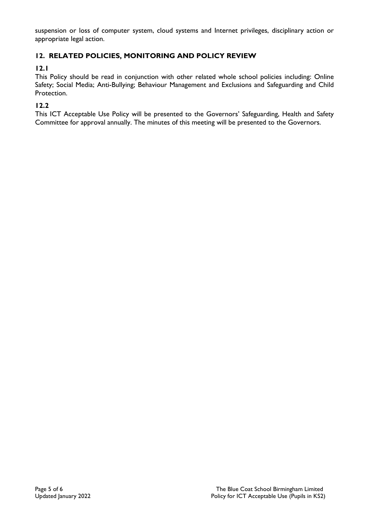suspension or loss of computer system, cloud systems and Internet privileges, disciplinary action or appropriate legal action.

#### **12. RELATED POLICIES, MONITORING AND POLICY REVIEW**

#### **12.1**

This Policy should be read in conjunction with other related whole school policies including: Online Safety; Social Media; Anti-Bullying; Behaviour Management and Exclusions and Safeguarding and Child Protection.

#### **12.2**

This ICT Acceptable Use Policy will be presented to the Governors' Safeguarding, Health and Safety Committee for approval annually. The minutes of this meeting will be presented to the Governors.